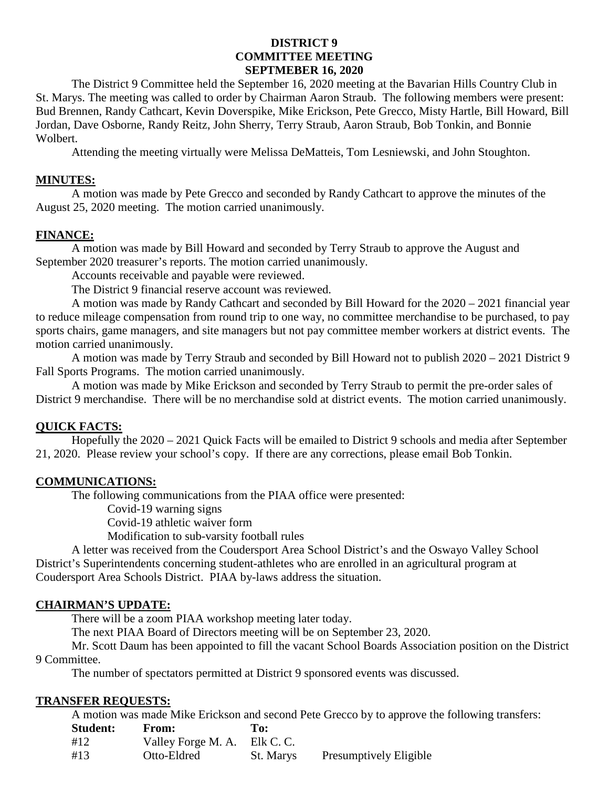## **DISTRICT 9 COMMITTEE MEETING SEPTMEBER 16, 2020**

The District 9 Committee held the September 16, 2020 meeting at the Bavarian Hills Country Club in St. Marys. The meeting was called to order by Chairman Aaron Straub. The following members were present: Bud Brennen, Randy Cathcart, Kevin Doverspike, Mike Erickson, Pete Grecco, Misty Hartle, Bill Howard, Bill Jordan, Dave Osborne, Randy Reitz, John Sherry, Terry Straub, Aaron Straub, Bob Tonkin, and Bonnie Wolbert.

Attending the meeting virtually were Melissa DeMatteis, Tom Lesniewski, and John Stoughton.

### **MINUTES:**

A motion was made by Pete Grecco and seconded by Randy Cathcart to approve the minutes of the August 25, 2020 meeting. The motion carried unanimously.

#### **FINANCE:**

A motion was made by Bill Howard and seconded by Terry Straub to approve the August and September 2020 treasurer's reports. The motion carried unanimously.

Accounts receivable and payable were reviewed.

The District 9 financial reserve account was reviewed.

A motion was made by Randy Cathcart and seconded by Bill Howard for the 2020 – 2021 financial year to reduce mileage compensation from round trip to one way, no committee merchandise to be purchased, to pay sports chairs, game managers, and site managers but not pay committee member workers at district events. The motion carried unanimously.

A motion was made by Terry Straub and seconded by Bill Howard not to publish 2020 – 2021 District 9 Fall Sports Programs. The motion carried unanimously.

A motion was made by Mike Erickson and seconded by Terry Straub to permit the pre-order sales of District 9 merchandise. There will be no merchandise sold at district events. The motion carried unanimously.

### **QUICK FACTS:**

Hopefully the 2020 – 2021 Quick Facts will be emailed to District 9 schools and media after September 21, 2020. Please review your school's copy. If there are any corrections, please email Bob Tonkin.

#### **COMMUNICATIONS:**

The following communications from the PIAA office were presented:

Covid-19 warning signs

Covid-19 athletic waiver form

Modification to sub-varsity football rules

A letter was received from the Coudersport Area School District's and the Oswayo Valley School District's Superintendents concerning student-athletes who are enrolled in an agricultural program at Coudersport Area Schools District. PIAA by-laws address the situation.

#### **CHAIRMAN'S UPDATE:**

There will be a zoom PIAA workshop meeting later today.

The next PIAA Board of Directors meeting will be on September 23, 2020.

Mr. Scott Daum has been appointed to fill the vacant School Boards Association position on the District 9 Committee.

The number of spectators permitted at District 9 sponsored events was discussed.

#### **TRANSFER REQUESTS:**

A motion was made Mike Erickson and second Pete Grecco by to approve the following transfers:

| <b>Student:</b> | <b>From:</b>       | To:       |                               |
|-----------------|--------------------|-----------|-------------------------------|
| #12             | Valley Forge M. A. | Elk C. C. |                               |
| #13             | Otto-Eldred        | St. Marys | <b>Presumptively Eligible</b> |